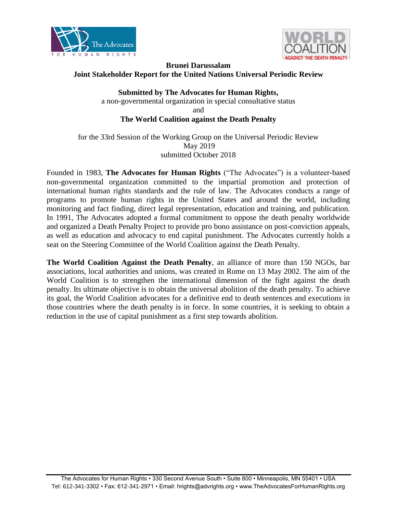



# **Brunei Darussalam Joint Stakeholder Report for the United Nations Universal Periodic Review**

**Submitted by The Advocates for Human Rights,**  a non-governmental organization in special consultative status and **The World Coalition against the Death Penalty**

for the 33rd Session of the Working Group on the Universal Periodic Review May 2019 submitted October 2018

Founded in 1983, **The Advocates for Human Rights** ("The Advocates") is a volunteer-based non-governmental organization committed to the impartial promotion and protection of international human rights standards and the rule of law. The Advocates conducts a range of programs to promote human rights in the United States and around the world, including monitoring and fact finding, direct legal representation, education and training, and publication. In 1991, The Advocates adopted a formal commitment to oppose the death penalty worldwide and organized a Death Penalty Project to provide pro bono assistance on post-conviction appeals, as well as education and advocacy to end capital punishment. The Advocates currently holds a seat on the Steering Committee of the World Coalition against the Death Penalty.

**The World Coalition Against the Death Penalty**, an alliance of more than 150 NGOs, bar associations, local authorities and unions, was created in Rome on 13 May 2002. The aim of the World Coalition is to strengthen the international dimension of the fight against the death penalty. Its ultimate objective is to obtain the universal abolition of the death penalty. To achieve its goal, the World Coalition advocates for a definitive end to death sentences and executions in those countries where the death penalty is in force. In some countries, it is seeking to obtain a reduction in the use of capital punishment as a first step towards abolition.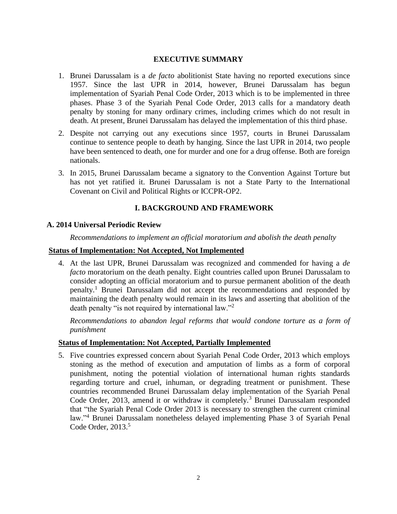#### **EXECUTIVE SUMMARY**

- 1. Brunei Darussalam is a *de facto* abolitionist State having no reported executions since 1957. Since the last UPR in 2014, however, Brunei Darussalam has begun implementation of Syariah Penal Code Order, 2013 which is to be implemented in three phases. Phase 3 of the Syariah Penal Code Order, 2013 calls for a mandatory death penalty by stoning for many ordinary crimes, including crimes which do not result in death. At present, Brunei Darussalam has delayed the implementation of this third phase.
- 2. Despite not carrying out any executions since 1957, courts in Brunei Darussalam continue to sentence people to death by hanging. Since the last UPR in 2014, two people have been sentenced to death, one for murder and one for a drug offense. Both are foreign nationals.
- 3. In 2015, Brunei Darussalam became a signatory to the Convention Against Torture but has not yet ratified it. Brunei Darussalam is not a State Party to the International Covenant on Civil and Political Rights or ICCPR-OP2.

# **I. BACKGROUND AND FRAMEWORK**

## **A. 2014 Universal Periodic Review**

*Recommendations to implement an official moratorium and abolish the death penalty*

## **Status of Implementation: Not Accepted, Not Implemented**

4. At the last UPR, Brunei Darussalam was recognized and commended for having a *de facto* moratorium on the death penalty. Eight countries called upon Brunei Darussalam to consider adopting an official moratorium and to pursue permanent abolition of the death penalty.<sup>1</sup> Brunei Darussalam did not accept the recommendations and responded by maintaining the death penalty would remain in its laws and asserting that abolition of the death penalty "is not required by international law."<sup>2</sup>

*Recommendations to abandon legal reforms that would condone torture as a form of punishment*

#### **Status of Implementation: Not Accepted, Partially Implemented**

5. Five countries expressed concern about Syariah Penal Code Order, 2013 which employs stoning as the method of execution and amputation of limbs as a form of corporal punishment, noting the potential violation of international human rights standards regarding torture and cruel, inhuman, or degrading treatment or punishment. These countries recommended Brunei Darussalam delay implementation of the Syariah Penal Code Order, 2013, amend it or withdraw it completely.<sup>3</sup> Brunei Darussalam responded that "the Syariah Penal Code Order 2013 is necessary to strengthen the current criminal law."<sup>4</sup> Brunei Darussalam nonetheless delayed implementing Phase 3 of Syariah Penal Code Order, 2013. 5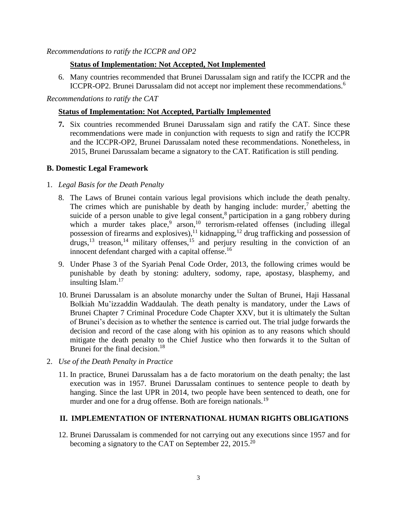# **Status of Implementation: Not Accepted, Not Implemented**

6. Many countries recommended that Brunei Darussalam sign and ratify the ICCPR and the ICCPR-OP2. Brunei Darussalam did not accept nor implement these recommendations.<sup>6</sup>

*Recommendations to ratify the CAT*

## **Status of Implementation: Not Accepted, Partially Implemented**

**7.** Six countries recommended Brunei Darussalam sign and ratify the CAT. Since these recommendations were made in conjunction with requests to sign and ratify the ICCPR and the ICCPR-OP2, Brunei Darussalam noted these recommendations. Nonetheless, in 2015, Brunei Darussalam became a signatory to the CAT. Ratification is still pending.

## **B. Domestic Legal Framework**

## 1. *Legal Basis for the Death Penalty*

- 8. The Laws of Brunei contain various legal provisions which include the death penalty. The crimes which are punishable by death by hanging include: murder, $\frac{7}{7}$  abetting the suicide of a person unable to give legal consent,<sup>8</sup> participation in a gang robbery during which a murder takes place,<sup>9</sup> arson,<sup>10</sup> terrorism-related offenses (including illegal possession of firearms and explosives),<sup>11</sup> kidnapping,<sup>12</sup> drug trafficking and possession of drugs,<sup>13</sup> treason,<sup>14</sup> military offenses,<sup>15</sup> and perjury resulting in the conviction of an innocent defendant charged with a capital offense.<sup>16</sup>
- 9. Under Phase 3 of the Syariah Penal Code Order, 2013, the following crimes would be punishable by death by stoning: adultery, sodomy, rape, apostasy, blasphemy, and insulting Islam.<sup>17</sup>
- 10. Brunei Darussalam is an absolute monarchy under the Sultan of Brunei, Haji Hassanal Bolkiah Mu'izzaddin Waddaulah. The death penalty is mandatory, under the Laws of Brunei Chapter 7 Criminal Procedure Code Chapter XXV, but it is ultimately the Sultan of Brunei's decision as to whether the sentence is carried out. The trial judge forwards the decision and record of the case along with his opinion as to any reasons which should mitigate the death penalty to the Chief Justice who then forwards it to the Sultan of Brunei for the final decision.<sup>18</sup>
- 2. *Use of the Death Penalty in Practice*
	- 11. In practice, Brunei Darussalam has a de facto moratorium on the death penalty; the last execution was in 1957. Brunei Darussalam continues to sentence people to death by hanging. Since the last UPR in 2014, two people have been sentenced to death, one for murder and one for a drug offense. Both are foreign nationals.<sup>19</sup>

# **II. IMPLEMENTATION OF INTERNATIONAL HUMAN RIGHTS OBLIGATIONS**

12. Brunei Darussalam is commended for not carrying out any executions since 1957 and for becoming a signatory to the CAT on September 22, 2015.<sup>20</sup>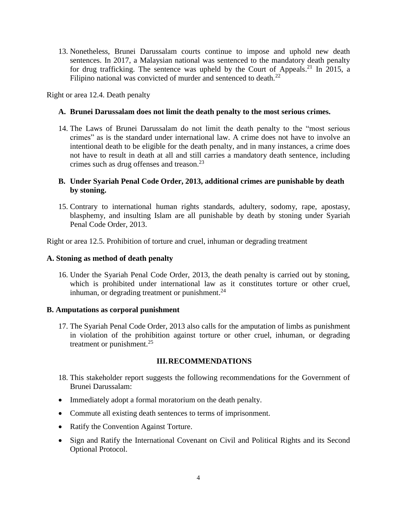13. Nonetheless, Brunei Darussalam courts continue to impose and uphold new death sentences. In 2017, a Malaysian national was sentenced to the mandatory death penalty for drug trafficking. The sentence was upheld by the Court of Appeals.<sup>21</sup> In 2015, a Filipino national was convicted of murder and sentenced to death.<sup>22</sup>

Right or area 12.4. Death penalty

#### **A. Brunei Darussalam does not limit the death penalty to the most serious crimes.**

14. The Laws of Brunei Darussalam do not limit the death penalty to the "most serious crimes" as is the standard under international law. A crime does not have to involve an intentional death to be eligible for the death penalty, and in many instances, a crime does not have to result in death at all and still carries a mandatory death sentence, including crimes such as drug offenses and treason.<sup>23</sup>

## **B. Under Syariah Penal Code Order, 2013, additional crimes are punishable by death by stoning.**

15. Contrary to international human rights standards, adultery, sodomy, rape, apostasy, blasphemy, and insulting Islam are all punishable by death by stoning under Syariah Penal Code Order, 2013.

Right or area 12.5. Prohibition of torture and cruel, inhuman or degrading treatment

#### **A. Stoning as method of death penalty**

16. Under the Syariah Penal Code Order, 2013, the death penalty is carried out by stoning, which is prohibited under international law as it constitutes torture or other cruel, inhuman, or degrading treatment or punishment. $^{24}$ 

#### **B. Amputations as corporal punishment**

17. The Syariah Penal Code Order, 2013 also calls for the amputation of limbs as punishment in violation of the prohibition against torture or other cruel, inhuman, or degrading treatment or punishment. $^{25}$ 

#### **III.RECOMMENDATIONS**

- 18. This stakeholder report suggests the following recommendations for the Government of Brunei Darussalam:
- Immediately adopt a formal moratorium on the death penalty.
- Commute all existing death sentences to terms of imprisonment.
- Ratify the Convention Against Torture.
- Sign and Ratify the International Covenant on Civil and Political Rights and its Second Optional Protocol.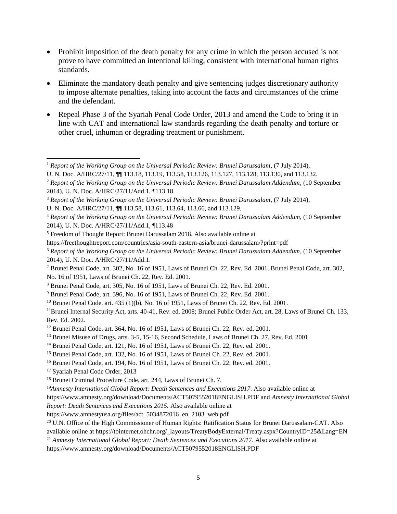- Prohibit imposition of the death penalty for any crime in which the person accused is not prove to have committed an intentional killing, consistent with international human rights standards.
- Eliminate the mandatory death penalty and give sentencing judges discretionary authority to impose alternate penalties, taking into account the facts and circumstances of the crime and the defendant.
- Repeal Phase 3 of the Syariah Penal Code Order, 2013 and amend the Code to bring it in line with CAT and international law standards regarding the death penalty and torture or other cruel, inhuman or degrading treatment or punishment.

<sup>9</sup> Brunei Penal Code, art. 396, No. 16 of 1951, Laws of Brunei Ch. 22, Rev. Ed. 2001.

<sup>15</sup> Brunei Penal Code, art. 132, No. 16 of 1951, Laws of Brunei Ch. 22, Rev. ed. 2001.

<sup>17</sup> Syariah Penal Code Order, 2013

https://www.amnesty.org/download/Documents/ACT5079552018ENGLISH.PDF

 <sup>1</sup> *Report of the Working Group on the Universal Periodic Review: Brunei Darussalam*, (7 July 2014),

U. N. Doc. A/HRC/27/11,  $\P$  113.18, 113.19, 113.58, 113.126, 113.127, 113.128, 113.130, and 113.132.

<sup>2</sup> *Report of the Working Group on the Universal Periodic Review: Brunei Darussalam Addendum*, (10 September 2014), U. N. Doc. A/HRC/27/11/Add.1, ¶113.18.

<sup>3</sup> *Report of the Working Group on the Universal Periodic Review: Brunei Darussalam*, (7 July 2014),

U. N. Doc. A/HRC/27/11, ¶¶ 113.58, 113.61, 113.64, 113.66, and 113.129.

<sup>4</sup> *Report of the Working Group on the Universal Periodic Review: Brunei Darussalam Addendum*, (10 September 2014), U. N. Doc. A/HRC/27/11/Add.1, ¶113.48

<sup>5</sup> Freedom of Thought Report: Brunei Darussalam 2018. Also available online at

https://freethoughtreport.com/countries/asia-south-eastern-asia/brunei-darussalam/?print=pdf

<sup>6</sup> *Report of the Working Group on the Universal Periodic Review: Brunei Darussalam Addendum*, (10 September 2014), U. N. Doc. A/HRC/27/11/Add.1.

<sup>7</sup> Brunei Penal Code, art. 302, No. 16 of 1951, Laws of Brunei Ch. 22, Rev. Ed. 2001. Brunei Penal Code, art. 302, No. 16 of 1951, Laws of Brunei Ch. 22, Rev. Ed. 2001.

<sup>8</sup> Brunei Penal Code, art. 305, No. 16 of 1951, Laws of Brunei Ch. 22, Rev. Ed. 2001.

<sup>&</sup>lt;sup>10</sup> Brunei Penal Code, art. 435 (1)(b), No. 16 of 1951, Laws of Brunei Ch. 22, Rev. Ed. 2001.

<sup>&</sup>lt;sup>11</sup>Brunei Internal Security Act, arts. 40-41, Rev. ed. 2008; Brunei Public Order Act, art. 28, Laws of Brunei Ch. 133, Rev. Ed. 2002.

<sup>&</sup>lt;sup>12</sup> Brunei Penal Code, art. 364, No. 16 of 1951, Laws of Brunei Ch. 22, Rev. ed. 2001.

<sup>13</sup> Brunei Misuse of Drugs, arts. 3-5, 15-16, Second Schedule, Laws of Brunei Ch. 27, Rev. Ed. 2001

<sup>&</sup>lt;sup>14</sup> Brunei Penal Code, art. 121, No. 16 of 1951, Laws of Brunei Ch. 22, Rev. ed. 2001.

<sup>16</sup> Brunei Penal Code, art. 194, No. 16 of 1951, Laws of Brunei Ch. 22, Rev. ed. 2001.

<sup>18</sup> Brunei Criminal Procedure Code, art. 244, Laws of Brunei Ch. 7.

<sup>19</sup>*Amnesty International Global Report: Death Sentences and Executions 2017*. Also available online at

https://www.amnesty.org/download/Documents/ACT5079552018ENGLISH.PDF and *Amnesty International Global Report: Death Sentences and Executions 2015.* Also available online at

https://www.amnestyusa.org/files/act\_5034872016\_en\_2103\_web.pdf

<sup>&</sup>lt;sup>20</sup> U.N. Office of the High Commissioner of Human Rights: Ratification Status for Brunei Darussalam-CAT. Also available online at https://tbinternet.ohchr.org/\_layouts/TreatyBodyExternal/Treaty.aspx?CountryID=25&Lang=EN

<sup>21</sup> *Amnesty International Global Report: Death Sentences and Executions 2017*. Also available online at